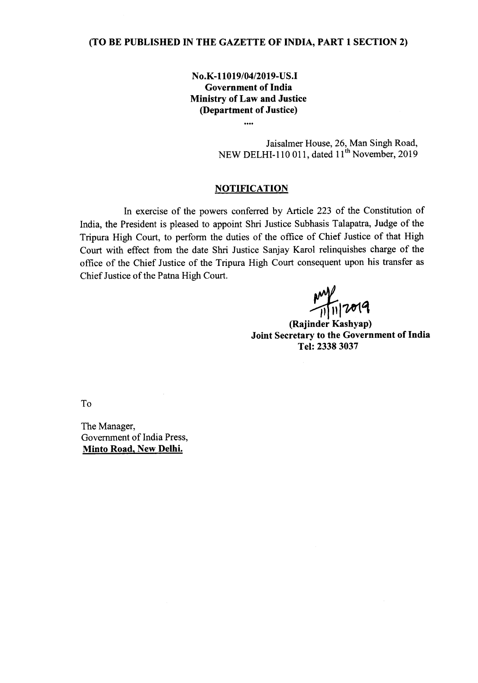## (TO BE PUBLISHED IN THE GAZETTE OF INDIA, PART 1 SECTION 2)

No.K-11019/04/2019-US.I Government of India Ministry of Law and Justice (Department of Justice)

....

Jaisalmer House, 26, Man Singh Road, NEW DELHI-110 011, dated 11<sup>th</sup> November, 2019

## **NOTIFICATION**

In exercise of the powers conferred by Article 223 of the Constitution of India, the President is pleased to appoint Shri Justice Subhasis Talapatra, Judge of the Tripura High Court, to perform the duties of the office of Chief Justice of that High Court with effect from the date Shri Justice Sanjay Karol relinquishes charge of the office of the Chief Justice of the Tripura High Court consequent upon his transfer as Chief Justice of the Patna High Court.

 $\frac{1}{\sqrt{1-\frac{1}{n}}\sqrt{20}}$ (Rajinder Kashyap)

Joint Secretary to the Government of India Tel: 2338 3037

To

The Manager, Government of India Press, Minto Road, New Delhi.